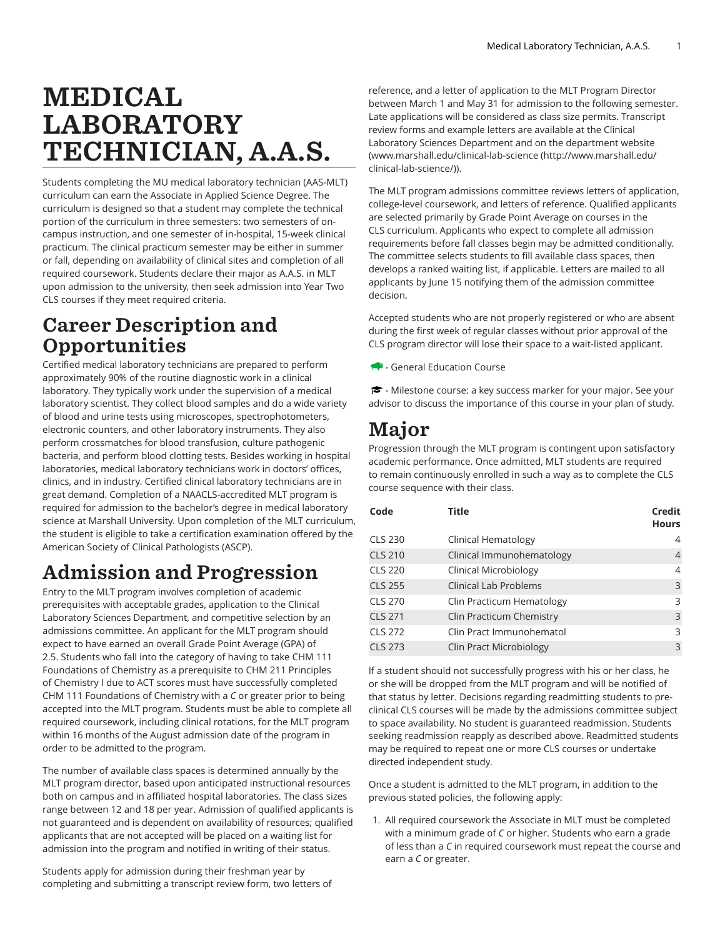# MEDICAL LABORATORY TECHNICIAN, A.A.S.

Students completing the MU medical laboratory technician (AAS-MLT) curriculum can earn the Associate in Applied Science Degree. The curriculum is designed so that a student may complete the technical portion of the curriculum in three semesters: two semesters of oncampus instruction, and one semester of in-hospital, 15-week clinical practicum. The clinical practicum semester may be either in summer or fall, depending on availability of clinical sites and completion of all required coursework. Students declare their major as A.A.S. in MLT upon admission to the university, then seek admission into Year Two CLS courses if they meet required criteria.

### Career Description and **Opportunities**

Certified medical laboratory technicians are prepared to perform approximately 90% of the routine diagnostic work in a clinical laboratory. They typically work under the supervision of a medical laboratory scientist. They collect blood samples and do a wide variety of blood and urine tests using microscopes, spectrophotometers, electronic counters, and other laboratory instruments. They also perform crossmatches for blood transfusion, culture pathogenic bacteria, and perform blood clotting tests. Besides working in hospital laboratories, medical laboratory technicians work in doctors' offices, clinics, and in industry. Certified clinical laboratory technicians are in great demand. Completion of a NAACLS-accredited MLT program is required for admission to the bachelor's degree in medical laboratory science at Marshall University. Upon completion of the MLT curriculum, the student is eligible to take a certification examination offered by the American Society of Clinical Pathologists (ASCP).

## Admission and Progression

Entry to the MLT program involves completion of academic prerequisites with acceptable grades, application to the Clinical Laboratory Sciences Department, and competitive selection by an admissions committee. An applicant for the MLT program should expect to have earned an overall Grade Point Average (GPA) of 2.5. Students who fall into the category of having to take CHM 111 Foundations of Chemistry as a prerequisite to CHM 211 Principles of Chemistry I due to ACT scores must have successfully completed CHM 111 Foundations of Chemistry with a *C* or greater prior to being accepted into the MLT program. Students must be able to complete all required coursework, including clinical rotations, for the MLT program within 16 months of the August admission date of the program in order to be admitted to the program.

The number of available class spaces is determined annually by the MLT program director, based upon anticipated instructional resources both on campus and in affiliated hospital laboratories. The class sizes range between 12 and 18 per year. Admission of qualified applicants is not guaranteed and is dependent on availability of resources; qualified applicants that are not accepted will be placed on a waiting list for admission into the program and notified in writing of their status.

Students apply for admission during their freshman year by completing and submitting a transcript review form, two letters of

reference, and a letter of application to the MLT Program Director between March 1 and May 31 for admission to the following semester. Late applications will be considered as class size permits. Transcript review forms and example letters are available at the Clinical Laboratory Sciences Department and on the department website ([www.marshall.edu/clinical-lab-science \(http://www.marshall.edu/](http://www.marshall.edu/clinical-lab-science/) [clinical-lab-science/](http://www.marshall.edu/clinical-lab-science/))).

The MLT program admissions committee reviews letters of application, college-level coursework, and letters of reference. Qualified applicants are selected primarily by Grade Point Average on courses in the CLS curriculum. Applicants who expect to complete all admission requirements before fall classes begin may be admitted conditionally. The committee selects students to fill available class spaces, then develops a ranked waiting list, if applicable. Letters are mailed to all applicants by June 15 notifying them of the admission committee decision.

Accepted students who are not properly registered or who are absent during the first week of regular classes without prior approval of the CLS program director will lose their space to a wait-listed applicant.

- General Education Course

 $\blacktriangleright$  - Milestone course: a key success marker for your major. See your advisor to discuss the importance of this course in your plan of study.

### Major

Progression through the MLT program is contingent upon satisfactory academic performance. Once admitted, MLT students are required to remain continuously enrolled in such a way as to complete the CLS course sequence with their class.

| Code           | Title                        | Credit<br><b>Hours</b> |
|----------------|------------------------------|------------------------|
| <b>CLS 230</b> | Clinical Hematology          | 4                      |
| <b>CLS 210</b> | Clinical Immunohematology    | 4                      |
| CLS 220        | Clinical Microbiology        | 4                      |
| <b>CLS 255</b> | <b>Clinical Lab Problems</b> | 3                      |
| CLS 270        | Clin Practicum Hematology    | 3                      |
| <b>CLS 271</b> | Clin Practicum Chemistry     | 3                      |
| <b>CLS 272</b> | Clin Pract Immunohematol     | 3                      |
| <b>CLS 273</b> | Clin Pract Microbiology      | 3                      |

If a student should not successfully progress with his or her class, he or she will be dropped from the MLT program and will be notified of that status by letter. Decisions regarding readmitting students to preclinical CLS courses will be made by the admissions committee subject to space availability. No student is guaranteed readmission. Students seeking readmission reapply as described above. Readmitted students may be required to repeat one or more CLS courses or undertake directed independent study.

Once a student is admitted to the MLT program, in addition to the previous stated policies, the following apply:

1. All required coursework the Associate in MLT must be completed with a minimum grade of *C* or higher. Students who earn a grade of less than a *C* in required coursework must repeat the course and earn a *C* or greater.